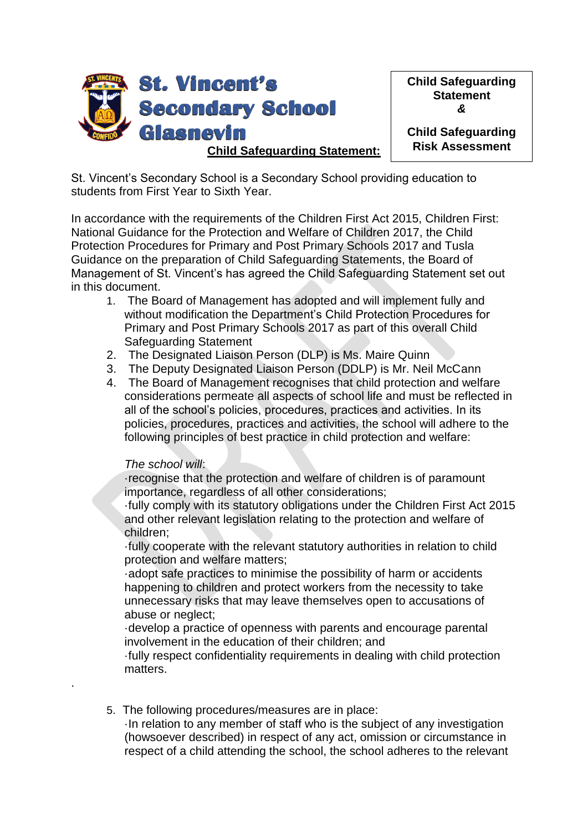

**Child Safeguarding Statement** *&*

**Child Safeguarding Risk Assessment**

St. Vincent's Secondary School is a Secondary School providing education to students from First Year to Sixth Year.

In accordance with the requirements of the Children First Act 2015, Children First: National Guidance for the Protection and Welfare of Children 2017, the Child Protection Procedures for Primary and Post Primary Schools 2017 and Tusla Guidance on the preparation of Child Safeguarding Statements, the Board of Management of St. Vincent's has agreed the Child Safeguarding Statement set out in this document.

- 1. The Board of Management has adopted and will implement fully and without modification the Department's Child Protection Procedures for Primary and Post Primary Schools 2017 as part of this overall Child Safeguarding Statement
- 2. The Designated Liaison Person (DLP) is Ms. Maire Quinn
- 3. The Deputy Designated Liaison Person (DDLP) is Mr. Neil McCann
- 4. The Board of Management recognises that child protection and welfare considerations permeate all aspects of school life and must be reflected in all of the school's policies, procedures, practices and activities. In its policies, procedures, practices and activities, the school will adhere to the following principles of best practice in child protection and welfare:

# *The school will*:

.

·recognise that the protection and welfare of children is of paramount importance, regardless of all other considerations;

·fully comply with its statutory obligations under the Children First Act 2015 and other relevant legislation relating to the protection and welfare of children;

·fully cooperate with the relevant statutory authorities in relation to child protection and welfare matters;

·adopt safe practices to minimise the possibility of harm or accidents happening to children and protect workers from the necessity to take unnecessary risks that may leave themselves open to accusations of abuse or neglect;

·develop a practice of openness with parents and encourage parental involvement in the education of their children; and

·fully respect confidentiality requirements in dealing with child protection matters.

5. The following procedures/measures are in place:

·In relation to any member of staff who is the subject of any investigation (howsoever described) in respect of any act, omission or circumstance in respect of a child attending the school, the school adheres to the relevant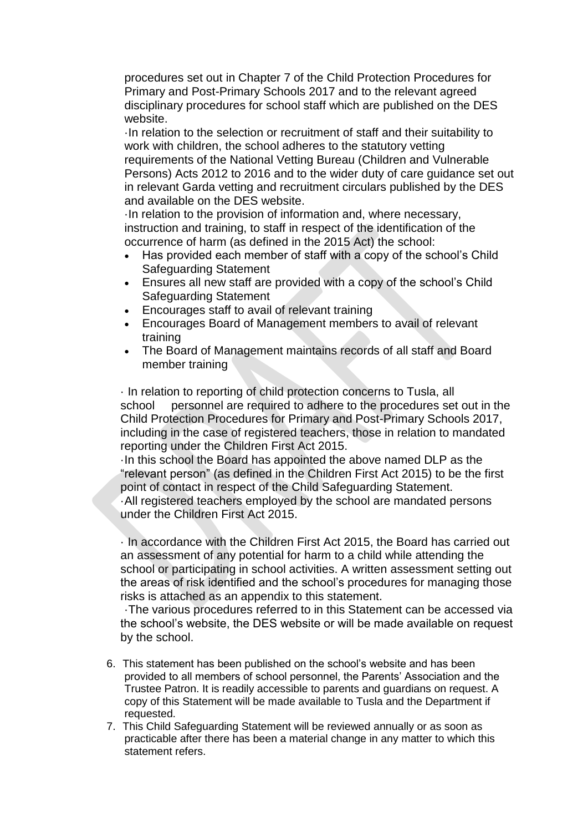procedures set out in Chapter 7 of the Child Protection Procedures for Primary and Post-Primary Schools 2017 and to the relevant agreed disciplinary procedures for school staff which are published on the DES website.

·In relation to the selection or recruitment of staff and their suitability to work with children, the school adheres to the statutory vetting requirements of the National Vetting Bureau (Children and Vulnerable Persons) Acts 2012 to 2016 and to the wider duty of care guidance set out in relevant Garda vetting and recruitment circulars published by the DES and available on the DES website.

·In relation to the provision of information and, where necessary, instruction and training, to staff in respect of the identification of the occurrence of harm (as defined in the 2015 Act) the school:

- Has provided each member of staff with a copy of the school's Child Safeguarding Statement
- Ensures all new staff are provided with a copy of the school's Child Safeguarding Statement
- Encourages staff to avail of relevant training
- Encourages Board of Management members to avail of relevant training
- The Board of Management maintains records of all staff and Board member training

· In relation to reporting of child protection concerns to Tusla, all school personnel are required to adhere to the procedures set out in the Child Protection Procedures for Primary and Post-Primary Schools 2017, including in the case of registered teachers, those in relation to mandated reporting under the Children First Act 2015.

·In this school the Board has appointed the above named DLP as the "relevant person" (as defined in the Children First Act 2015) to be the first point of contact in respect of the Child Safeguarding Statement. ·All registered teachers employed by the school are mandated persons under the Children First Act 2015.

· In accordance with the Children First Act 2015, the Board has carried out an assessment of any potential for harm to a child while attending the school or participating in school activities. A written assessment setting out the areas of risk identified and the school's procedures for managing those risks is attached as an appendix to this statement.

·The various procedures referred to in this Statement can be accessed via the school's website, the DES website or will be made available on request by the school.

- 6. This statement has been published on the school's website and has been provided to all members of school personnel, the Parents' Association and the Trustee Patron. It is readily accessible to parents and guardians on request. A copy of this Statement will be made available to Tusla and the Department if requested.
- 7. This Child Safeguarding Statement will be reviewed annually or as soon as practicable after there has been a material change in any matter to which this statement refers.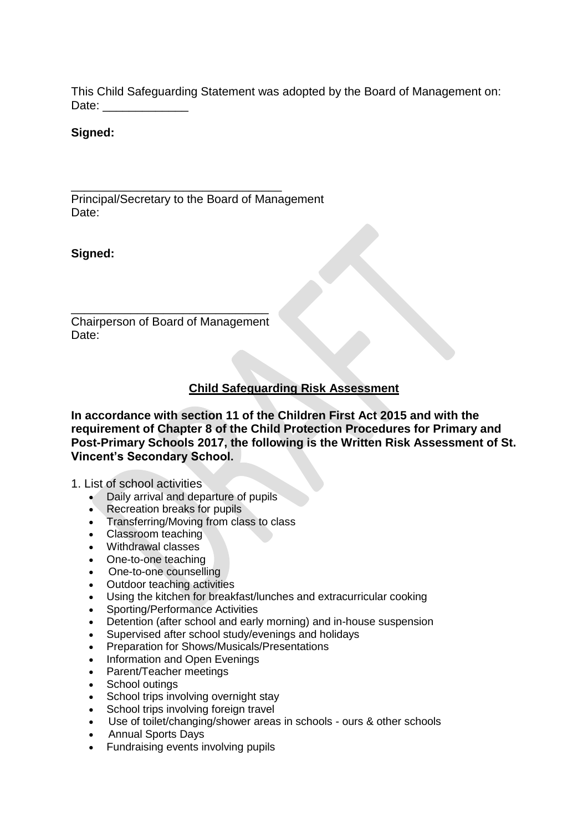This Child Safeguarding Statement was adopted by the Board of Management on: Date:

### **Signed:**

Principal/Secretary to the Board of Management Date:

\_\_\_\_\_\_\_\_\_\_\_\_\_\_\_\_\_\_\_\_\_\_\_\_\_\_\_\_\_\_\_\_

**Signed:**

Chairperson of Board of Management Date:

\_\_\_\_\_\_\_\_\_\_\_\_\_\_\_\_\_\_\_\_\_\_\_\_\_\_\_\_\_\_

# **Child Safeguarding Risk Assessment**

**In accordance with section 11 of the Children First Act 2015 and with the requirement of Chapter 8 of the Child Protection Procedures for Primary and Post-Primary Schools 2017, the following is the Written Risk Assessment of St. Vincent's Secondary School.** 

#### 1. List of school activities

- Daily arrival and departure of pupils
- Recreation breaks for pupils
- Transferring/Moving from class to class
- Classroom teaching
- Withdrawal classes
- One-to-one teaching
- One-to-one counselling
- Outdoor teaching activities
- Using the kitchen for breakfast/lunches and extracurricular cooking
- Sporting/Performance Activities
- Detention (after school and early morning) and in-house suspension
- Supervised after school study/evenings and holidays
- Preparation for Shows/Musicals/Presentations
- Information and Open Evenings
- Parent/Teacher meetings
- School outings
- School trips involving overnight stay
- School trips involving foreign travel
- Use of toilet/changing/shower areas in schools ours & other schools
- Annual Sports Days
- Fundraising events involving pupils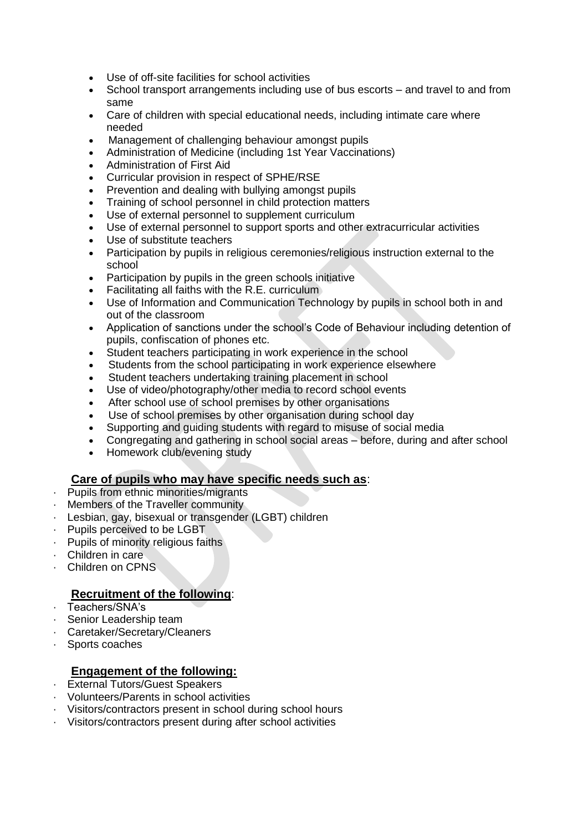- Use of off-site facilities for school activities
- School transport arrangements including use of bus escorts and travel to and from same
- Care of children with special educational needs, including intimate care where needed
- Management of challenging behaviour amongst pupils
- Administration of Medicine (including 1st Year Vaccinations)
- Administration of First Aid
- Curricular provision in respect of SPHE/RSE
- Prevention and dealing with bullying amongst pupils
- Training of school personnel in child protection matters
- Use of external personnel to supplement curriculum
- Use of external personnel to support sports and other extracurricular activities
- Use of substitute teachers
- Participation by pupils in religious ceremonies/religious instruction external to the school
- Participation by pupils in the green schools initiative
- Facilitating all faiths with the R.E. curriculum
- Use of Information and Communication Technology by pupils in school both in and out of the classroom
- Application of sanctions under the school's Code of Behaviour including detention of pupils, confiscation of phones etc.
- Student teachers participating in work experience in the school
- Students from the school participating in work experience elsewhere
- Student teachers undertaking training placement in school
- Use of video/photography/other media to record school events
- After school use of school premises by other organisations
- Use of school premises by other organisation during school day
- Supporting and guiding students with regard to misuse of social media
- Congregating and gathering in school social areas before, during and after school
- Homework club/evening study

### **Care of pupils who may have specific needs such as**:

- Pupils from ethnic minorities/migrants
- Members of the Traveller community
- Lesbian, gay, bisexual or transgender (LGBT) children
- Pupils perceived to be LGBT.
- Pupils of minority religious faiths
- · Children in care
- Children on CPNS

# **Recruitment of the following**:

- · Teachers/SNA's
- · Senior Leadership team
- Caretaker/Secretary/Cleaners
- · Sports coaches

# **Engagement of the following:**

- · External Tutors/Guest Speakers
- · Volunteers/Parents in school activities
- · Visitors/contractors present in school during school hours
- · Visitors/contractors present during after school activities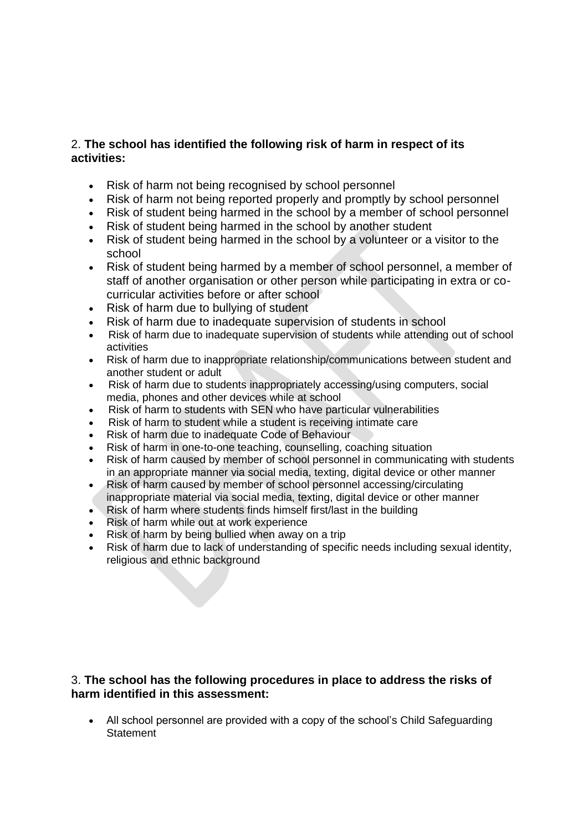# 2. **The school has identified the following risk of harm in respect of its activities:**

- Risk of harm not being recognised by school personnel
- Risk of harm not being reported properly and promptly by school personnel
- Risk of student being harmed in the school by a member of school personnel
- Risk of student being harmed in the school by another student
- Risk of student being harmed in the school by a volunteer or a visitor to the school
- Risk of student being harmed by a member of school personnel, a member of staff of another organisation or other person while participating in extra or cocurricular activities before or after school
- Risk of harm due to bullying of student
- Risk of harm due to inadequate supervision of students in school
- Risk of harm due to inadequate supervision of students while attending out of school activities
- Risk of harm due to inappropriate relationship/communications between student and another student or adult
- Risk of harm due to students inappropriately accessing/using computers, social media, phones and other devices while at school
- Risk of harm to students with SEN who have particular vulnerabilities
- Risk of harm to student while a student is receiving intimate care
- Risk of harm due to inadequate Code of Behaviour
- Risk of harm in one-to-one teaching, counselling, coaching situation
- Risk of harm caused by member of school personnel in communicating with students in an appropriate manner via social media, texting, digital device or other manner
- Risk of harm caused by member of school personnel accessing/circulating inappropriate material via social media, texting, digital device or other manner
- Risk of harm where students finds himself first/last in the building
- Risk of harm while out at work experience
- Risk of harm by being bullied when away on a trip
- Risk of harm due to lack of understanding of specific needs including sexual identity, religious and ethnic background

### 3. **The school has the following procedures in place to address the risks of harm identified in this assessment:**

 All school personnel are provided with a copy of the school's Child Safeguarding **Statement**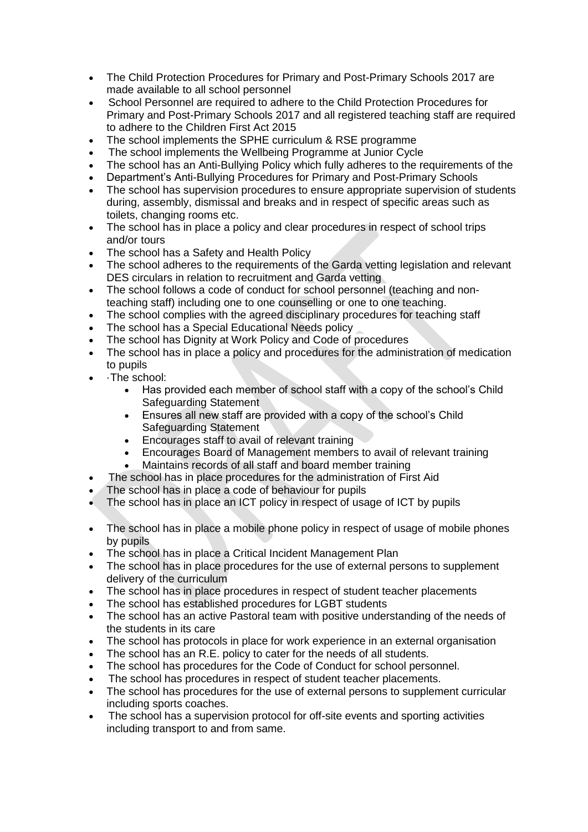- The Child Protection Procedures for Primary and Post-Primary Schools 2017 are made available to all school personnel
- School Personnel are required to adhere to the Child Protection Procedures for Primary and Post-Primary Schools 2017 and all registered teaching staff are required to adhere to the Children First Act 2015
- The school implements the SPHE curriculum & RSE programme
- The school implements the Wellbeing Programme at Junior Cycle
- The school has an Anti-Bullying Policy which fully adheres to the requirements of the
- Department's Anti-Bullying Procedures for Primary and Post-Primary Schools
- The school has supervision procedures to ensure appropriate supervision of students during, assembly, dismissal and breaks and in respect of specific areas such as toilets, changing rooms etc.
- The school has in place a policy and clear procedures in respect of school trips and/or tours
- The school has a Safety and Health Policy
- The school adheres to the requirements of the Garda vetting legislation and relevant DES circulars in relation to recruitment and Garda vetting
- The school follows a code of conduct for school personnel (teaching and nonteaching staff) including one to one counselling or one to one teaching.
- The school complies with the agreed disciplinary procedures for teaching staff
- The school has a Special Educational Needs policy
- The school has Dignity at Work Policy and Code of procedures
- The school has in place a policy and procedures for the administration of medication to pupils
- ·The school:
	- Has provided each member of school staff with a copy of the school's Child Safeguarding Statement
	- Ensures all new staff are provided with a copy of the school's Child Safeguarding Statement
	- Encourages staff to avail of relevant training
	- Encourages Board of Management members to avail of relevant training
	- Maintains records of all staff and board member training
- The school has in place procedures for the administration of First Aid
- The school has in place a code of behaviour for pupils
- The school has in place an ICT policy in respect of usage of ICT by pupils
- The school has in place a mobile phone policy in respect of usage of mobile phones by pupils
- The school has in place a Critical Incident Management Plan
- The school has in place procedures for the use of external persons to supplement delivery of the curriculum
- The school has in place procedures in respect of student teacher placements
- The school has established procedures for LGBT students
- The school has an active Pastoral team with positive understanding of the needs of the students in its care
- The school has protocols in place for work experience in an external organisation
- The school has an R.E. policy to cater for the needs of all students.
- The school has procedures for the Code of Conduct for school personnel.
- The school has procedures in respect of student teacher placements.
- The school has procedures for the use of external persons to supplement curricular including sports coaches.
- The school has a supervision protocol for off-site events and sporting activities including transport to and from same.